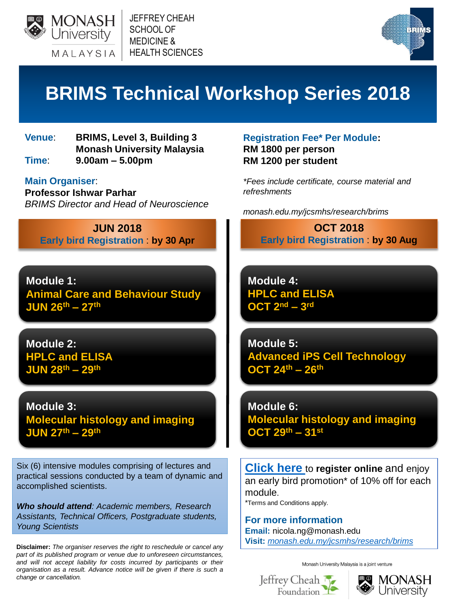

JEFFREY CHEAH SCHOOL OF MEDICINE & HEALTH SCIENCES



# **BRIMS Technical Workshop Series 2018**

**Venue**: **BRIMS, Level 3, Building 3 Monash University Malaysia**

**Time**: **9.00am – 5.00pm**

**Main Organiser**:

**Professor Ishwar Parhar** *BRIMS Director and Head of Neuroscience*

**JUN 2018 Early bird Registration** : **by 30 Apr**

**Module 1: Animal Care and Behaviour Study JUN 26th – 27th**

**Module 2: HPLC and ELISA JUN 28th – 29th**

**Module 3: Molecular histology and imaging JUN 27th – 29th**

Six (6) intensive modules comprising of lectures and practical sessions conducted by a team of dynamic and accomplished scientists.

*Who should attend: Academic members, Research Assistants, Technical Officers, Postgraduate students, Young Scientists*

**Disclaimer:** *The organiser reserves the right to reschedule or cancel any part of its published program or venue due to unforeseen circumstances, and will not accept liability for costs incurred by participants or their organisation as a result. Advance notice will be given if there is such a change or cancellation.*

**Registration Fee\* Per Module: RM 1800 per person RM 1200 per student**

*\*Fees include certificate, course material and refreshments*

*monash.edu.my/jcsmhs/research/brims*

**OCT 2018 Early bird Registration** : **by 30 Aug**

**Module 4: HPLC and ELISA OCT 2nd – 3 rd**

**Module 5: Advanced iPS Cell Technology OCT 24th – 26th**

**Module 6: Molecular histology and imaging OCT 29th – 31st**

**[Click here](https://goo.gl/forms/1HsHya6ezRPnxJxI2)** to **register online** and enjoy an early bird promotion\* of 10% off for each module.

\*Terms and Conditions apply.

**For more information Email:** nicola.ng@monash.edu **Visit:** *[monash.edu.my/jcsmhs/research/brims](https://www.monash.edu.my/jcsmhs/research/brims)*

Monash University Malaysia is a joint venture